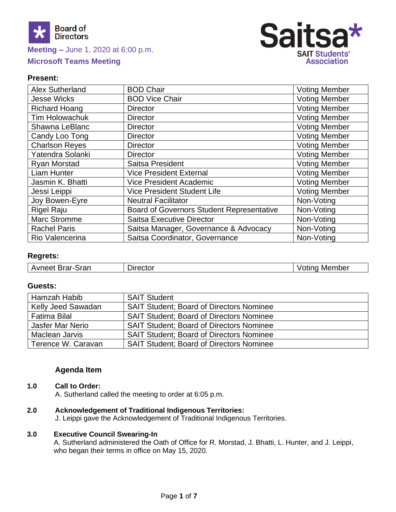

# **Meeting –** June 1, 2020 at 6:00 p.m. **Microsoft Teams Meeting**



## **Present:**

| <b>Alex Sutherland</b> | <b>BOD Chair</b>                                 | <b>Voting Member</b> |
|------------------------|--------------------------------------------------|----------------------|
| <b>Jesse Wicks</b>     | <b>BOD Vice Chair</b>                            | <b>Voting Member</b> |
| <b>Richard Hoang</b>   | <b>Director</b>                                  | <b>Voting Member</b> |
| <b>Tim Holowachuk</b>  | <b>Director</b>                                  | <b>Voting Member</b> |
| Shawna LeBlanc         | <b>Director</b>                                  | <b>Voting Member</b> |
| Candy Loo Tong         | <b>Director</b>                                  | <b>Voting Member</b> |
| <b>Charlson Reyes</b>  | <b>Director</b>                                  | <b>Voting Member</b> |
| Yatendra Solanki       | <b>Director</b>                                  | <b>Voting Member</b> |
| Ryan Morstad           | Saitsa President                                 | <b>Voting Member</b> |
| Liam Hunter            | <b>Vice President External</b>                   | <b>Voting Member</b> |
| Jasmin K. Bhatti       | <b>Vice President Academic</b>                   | <b>Voting Member</b> |
| Jessi Leippi           | Vice President Student Life                      | <b>Voting Member</b> |
| Joy Bowen-Eyre         | <b>Neutral Facilitator</b>                       | Non-Voting           |
| Rigel Raju             | <b>Board of Governors Student Representative</b> | Non-Voting           |
| <b>Marc Stromme</b>    | <b>Saitsa Executive Director</b>                 | Non-Voting           |
| <b>Rachel Paris</b>    | Saitsa Manager, Governance & Advocacy            | Non-Voting           |
| Rio Valencerina        | Saitsa Coordinator, Governance                   | Non-Voting           |

# **Regrets:**

| Avneet Brar-Sran | Director | Voting<br>⊧Member |
|------------------|----------|-------------------|
|------------------|----------|-------------------|

# **Guests:**

| Hamzah Habib        | <b>SAIT Student</b>                             |
|---------------------|-------------------------------------------------|
| Kelly Jeed Sawadan  | <b>SAIT Student: Board of Directors Nominee</b> |
| <b>Fatima Bilal</b> | <b>SAIT Student: Board of Directors Nominee</b> |
| Jasfer Mar Nerio    | <b>SAIT Student: Board of Directors Nominee</b> |
| Maclean Jarvis      | <b>SAIT Student: Board of Directors Nominee</b> |
| Terence W. Caravan  | <b>SAIT Student: Board of Directors Nominee</b> |

# **Agenda Item**

#### **1.0 Call to Order:**

A. Sutherland called the meeting to order at 6:05 p.m.

- **2.0 Acknowledgement of Traditional Indigenous Territories:**
	- J. Leippi gave the Acknowledgement of Traditional Indigenous Territories.

#### **3.0 Executive Council Swearing-In**

A. Sutherland administered the Oath of Office for R. Morstad, J. Bhatti, L. Hunter, and J. Leippi, who began their terms in office on May 15, 2020.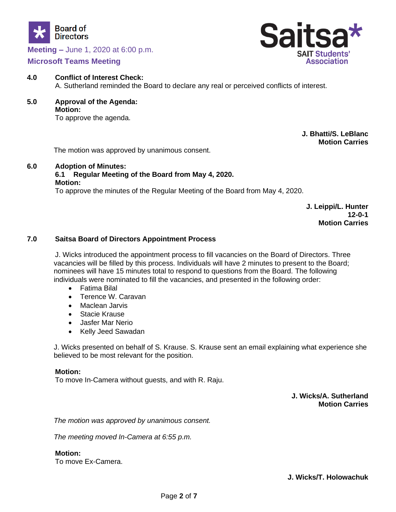

# **Microsoft Teams Meeting**



- **4.0 Conflict of Interest Check:** A. Sutherland reminded the Board to declare any real or perceived conflicts of interest.
- **5.0 Approval of the Agenda: Motion:**

To approve the agenda.

**J. Bhatti/S. LeBlanc Motion Carries**

The motion was approved by unanimous consent.

# **6.0 Adoption of Minutes:**

# **6.1 Regular Meeting of the Board from May 4, 2020.**

#### **Motion:**

To approve the minutes of the Regular Meeting of the Board from May 4, 2020.

**J. Leippi/L. Hunter 12-0-1 Motion Carries**

# **7.0 Saitsa Board of Directors Appointment Process**

J. Wicks introduced the appointment process to fill vacancies on the Board of Directors. Three vacancies will be filled by this process. Individuals will have 2 minutes to present to the Board; nominees will have 15 minutes total to respond to questions from the Board. The following individuals were nominated to fill the vacancies, and presented in the following order:

- Fatima Bilal
- Terence W. Caravan
- Maclean Jarvis
- Stacie Krause
- Jasfer Mar Nerio
- Kelly Jeed Sawadan

J. Wicks presented on behalf of S. Krause. S. Krause sent an email explaining what experience she believed to be most relevant for the position.

#### **Motion:**

To move In-Camera without guests, and with R. Raju.

**J. Wicks/A. Sutherland Motion Carries**

*The motion was approved by unanimous consent.* 

*The meeting moved In-Camera at 6:55 p.m.*

**Motion:** To move Ex-Camera.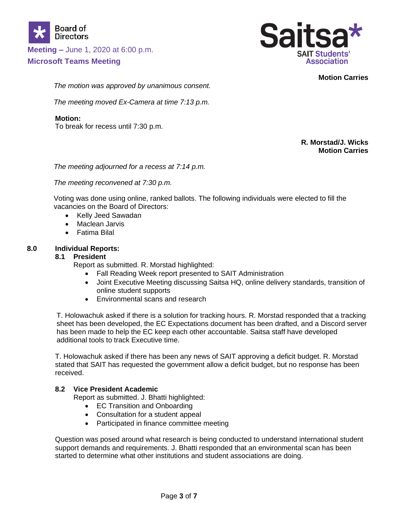

**Microsoft Teams Meeting** 



**Motion Carries**

*The motion was approved by unanimous consent.* 

*The meeting moved Ex-Camera at time 7:13 p.m.*

## **Motion:**

To break for recess until 7:30 p.m.

## **R. Morstad/J. Wicks Motion Carries**

*The meeting adjourned for a recess at 7:14 p.m.*

*The meeting reconvened at 7:30 p.m.*

Voting was done using online, ranked ballots. The following individuals were elected to fill the vacancies on the Board of Directors:

- Kelly Jeed Sawadan
- Maclean Jarvis
- Fatima Bilal

## **8.0 Individual Reports:**

## **8.1 President**

Report as submitted. R. Morstad highlighted:

- Fall Reading Week report presented to SAIT Administration
- Joint Executive Meeting discussing Saitsa HQ, online delivery standards, transition of online student supports
- Environmental scans and research

T. Holowachuk asked if there is a solution for tracking hours. R. Morstad responded that a tracking sheet has been developed, the EC Expectations document has been drafted, and a Discord server has been made to help the EC keep each other accountable. Saitsa staff have developed additional tools to track Executive time.

T. Holowachuk asked if there has been any news of SAIT approving a deficit budget. R. Morstad stated that SAIT has requested the government allow a deficit budget, but no response has been received.

## **8.2 Vice President Academic**

Report as submitted. J. Bhatti highlighted:

- EC Transition and Onboarding
- Consultation for a student appeal
- Participated in finance committee meeting

Question was posed around what research is being conducted to understand international student support demands and requirements. J. Bhatti responded that an environmental scan has been started to determine what other institutions and student associations are doing.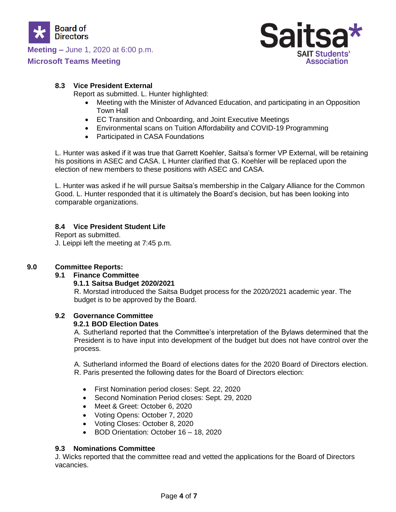

# **Microsoft Teams Meeting**



# **8.3 Vice President External**

Report as submitted. L. Hunter highlighted:

- Meeting with the Minister of Advanced Education, and participating in an Opposition Town Hall
- EC Transition and Onboarding, and Joint Executive Meetings
- Environmental scans on Tuition Affordability and COVID-19 Programming
- Participated in CASA Foundations

L. Hunter was asked if it was true that Garrett Koehler, Saitsa's former VP External, will be retaining his positions in ASEC and CASA. L Hunter clarified that G. Koehler will be replaced upon the election of new members to these positions with ASEC and CASA.

L. Hunter was asked if he will pursue Saitsa's membership in the Calgary Alliance for the Common Good. L. Hunter responded that it is ultimately the Board's decision, but has been looking into comparable organizations.

# **8.4 Vice President Student Life**

Report as submitted. J. Leippi left the meeting at 7:45 p.m.

# **9.0 Committee Reports:**

## **9.1 Finance Committee**

## **9.1.1 Saitsa Budget 2020/2021**

R. Morstad introduced the Saitsa Budget process for the 2020/2021 academic year. The budget is to be approved by the Board.

## **9.2 Governance Committee**

## **9.2.1 BOD Election Dates**

A. Sutherland reported that the Committee's interpretation of the Bylaws determined that the President is to have input into development of the budget but does not have control over the process.

A. Sutherland informed the Board of elections dates for the 2020 Board of Directors election. R. Paris presented the following dates for the Board of Directors election:

- First Nomination period closes: Sept. 22, 2020
- Second Nomination Period closes: Sept. 29, 2020
- Meet & Greet: October 6, 2020
- Voting Opens: October 7, 2020
- Voting Closes: October 8, 2020
- BOD Orientation: October 16 18, 2020

## **9.3 Nominations Committee**

J. Wicks reported that the committee read and vetted the applications for the Board of Directors vacancies.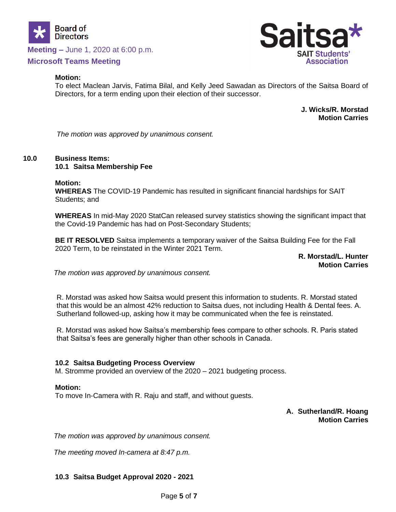

# **Microsoft Teams Meeting**

#### **Motion:**

Sal **SAIT Students' Association** 

To elect Maclean Jarvis, Fatima Bilal, and Kelly Jeed Sawadan as Directors of the Saitsa Board of Directors, for a term ending upon their election of their successor.

> **J. Wicks/R. Morstad Motion Carries**

*The motion was approved by unanimous consent.*

## **10.0 Business Items:**

#### **10.1 Saitsa Membership Fee**

#### **Motion:**

**WHEREAS** The COVID-19 Pandemic has resulted in significant financial hardships for SAIT Students; and

**WHEREAS** In mid-May 2020 StatCan released survey statistics showing the significant impact that the Covid-19 Pandemic has had on Post-Secondary Students;

**BE IT RESOLVED** Saitsa implements a temporary waiver of the Saitsa Building Fee for the Fall 2020 Term, to be reinstated in the Winter 2021 Term.

> **R. Morstad/L. Hunter Motion Carries**

*The motion was approved by unanimous consent.*

R. Morstad was asked how Saitsa would present this information to students. R. Morstad stated that this would be an almost 42% reduction to Saitsa dues, not including Health & Dental fees. A. Sutherland followed-up, asking how it may be communicated when the fee is reinstated.

R. Morstad was asked how Saitsa's membership fees compare to other schools. R. Paris stated that Saitsa's fees are generally higher than other schools in Canada.

#### **10.2 Saitsa Budgeting Process Overview**

M. Stromme provided an overview of the 2020 – 2021 budgeting process.

#### **Motion:**

To move In-Camera with R. Raju and staff, and without guests.

#### **A. Sutherland/R. Hoang Motion Carries**

*The motion was approved by unanimous consent.*

*The meeting moved In-camera at 8:47 p.m.*

## **10.3 Saitsa Budget Approval 2020 - 2021**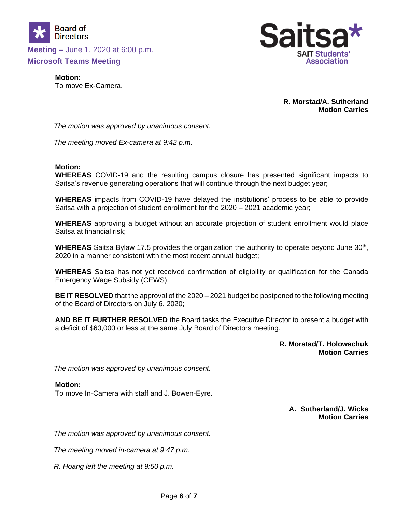

**Microsoft Teams Meeting** 



**Motion:** To move Ex-Camera.

> **R. Morstad/A. Sutherland Motion Carries**

*The motion was approved by unanimous consent.*

*The meeting moved Ex-camera at 9:42 p.m.*

#### **Motion:**

**WHEREAS** COVID-19 and the resulting campus closure has presented significant impacts to Saitsa's revenue generating operations that will continue through the next budget year;

**WHEREAS** impacts from COVID-19 have delayed the institutions' process to be able to provide Saitsa with a projection of student enrollment for the 2020 – 2021 academic year;

**WHEREAS** approving a budget without an accurate projection of student enrollment would place Saitsa at financial risk;

WHEREAS Saitsa Bylaw 17.5 provides the organization the authority to operate beyond June 30<sup>th</sup>, 2020 in a manner consistent with the most recent annual budget;

**WHEREAS** Saitsa has not yet received confirmation of eligibility or qualification for the Canada Emergency Wage Subsidy (CEWS);

**BE IT RESOLVED** that the approval of the 2020 – 2021 budget be postponed to the following meeting of the Board of Directors on July 6, 2020;

**AND BE IT FURTHER RESOLVED** the Board tasks the Executive Director to present a budget with a deficit of \$60,000 or less at the same July Board of Directors meeting.

> **R. Morstad/T. Holowachuk Motion Carries**

*The motion was approved by unanimous consent.*

#### **Motion:**

To move In-Camera with staff and J. Bowen-Eyre.

**A. Sutherland/J. Wicks Motion Carries**

*The motion was approved by unanimous consent.*

*The meeting moved in-camera at 9:47 p.m.*

*R. Hoang left the meeting at 9:50 p.m.*